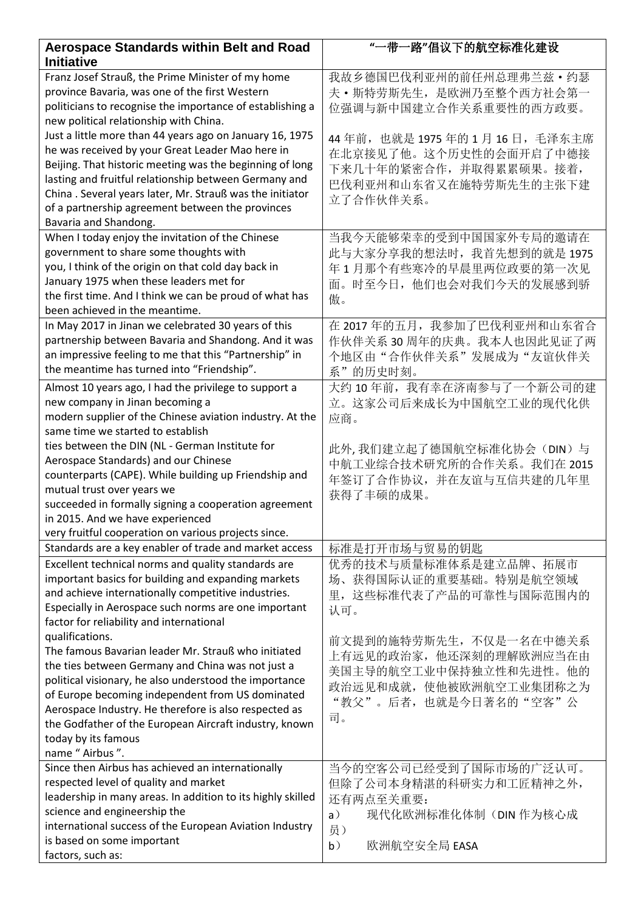| <b>Aerospace Standards within Belt and Road</b><br><b>Initiative</b> | "一带一路"倡议下的航空标准化建设              |
|----------------------------------------------------------------------|--------------------------------|
| Franz Josef Strauß, the Prime Minister of my home                    | 我故乡德国巴伐利亚州的前任州总理弗兰兹 • 约瑟       |
| province Bavaria, was one of the first Western                       | 夫·斯特劳斯先生, 是欧洲乃至整个西方社会第一        |
| politicians to recognise the importance of establishing a            | 位强调与新中国建立合作关系重要性的西方政要。         |
| new political relationship with China.                               |                                |
| Just a little more than 44 years ago on January 16, 1975             | 44年前, 也就是 1975年的 1月 16日, 毛泽东主席 |
| he was received by your Great Leader Mao here in                     | 在北京接见了他。这个历史性的会面开启了中德接         |
| Beijing. That historic meeting was the beginning of long             | 下来几十年的紧密合作,并取得累累硕果。接着,         |
| lasting and fruitful relationship between Germany and                | 巴伐利亚州和山东省又在施特劳斯先生的主张下建         |
| China. Several years later, Mr. Strauß was the initiator             | 立了合作伙伴关系。                      |
| of a partnership agreement between the provinces                     |                                |
| Bavaria and Shandong.                                                |                                |
| When I today enjoy the invitation of the Chinese                     | 当我今天能够荣幸的受到中国国家外专局的邀请在         |
| government to share some thoughts with                               | 此与大家分享我的想法时, 我首先想到的就是 1975     |
| you, I think of the origin on that cold day back in                  | 年1月那个有些寒冷的早晨里两位政要的第一次见         |
| January 1975 when these leaders met for                              | 面。时至今日, 他们也会对我们今天的发展感到骄        |
| the first time. And I think we can be proud of what has              | 傲。                             |
| been achieved in the meantime.                                       |                                |
| In May 2017 in Jinan we celebrated 30 years of this                  | 在 2017年的五月, 我参加了巴伐利亚州和山东省合     |
| partnership between Bavaria and Shandong. And it was                 | 作伙伴关系30周年的庆典。我本人也因此见证了两        |
| an impressive feeling to me that this "Partnership" in               | 个地区由"合作伙伴关系"发展成为"友谊伙伴关         |
| the meantime has turned into "Friendship".                           | 系"的历史时刻。                       |
| Almost 10 years ago, I had the privilege to support a                | 大约10年前, 我有幸在济南参与了一个新公司的建       |
| new company in Jinan becoming a                                      | 立。这家公司后来成长为中国航空工业的现代化供         |
| modern supplier of the Chinese aviation industry. At the             | 应商。                            |
| same time we started to establish                                    |                                |
| ties between the DIN (NL - German Institute for                      | 此外,我们建立起了德国航空标准化协会(DIN)与       |
| Aerospace Standards) and our Chinese                                 | 中航工业综合技术研究所的合作关系。我们在 2015      |
| counterparts (CAPE). While building up Friendship and                |                                |
| mutual trust over years we                                           | 年签订了合作协议,并在友谊与互信共建的几年里         |
| succeeded in formally signing a cooperation agreement                | 获得了丰硕的成果。                      |
| in 2015. And we have experienced                                     |                                |
| very fruitful cooperation on various projects since.                 |                                |
| Standards are a key enabler of trade and market access               | 标准是打开市场与贸易的钥匙                  |
| Excellent technical norms and quality standards are                  | 优秀的技术与质量标准体系是建立品牌、拓展市          |
| important basics for building and expanding markets                  | 场、获得国际认证的重要基础。特别是航空领域          |
| and achieve internationally competitive industries.                  | 里, 这些标准代表了产品的可靠性与国际范围内的        |
| Especially in Aerospace such norms are one important                 | 认可。                            |
| factor for reliability and international                             |                                |
| qualifications.                                                      | 前文提到的施特劳斯先生, 不仅是一名在中德关系        |
| The famous Bavarian leader Mr. Strauß who initiated                  |                                |
| the ties between Germany and China was not just a                    | 上有远见的政治家, 他还深刻的理解欧洲应当在由        |
| political visionary, he also understood the importance               | 美国主导的航空工业中保持独立性和先进性。他的         |
| of Europe becoming independent from US dominated                     | 政治远见和成就, 使他被欧洲航空工业集团称之为        |
| Aerospace Industry. He therefore is also respected as                | "教父"。后者,也就是今日著名的"空客"公          |
| the Godfather of the European Aircraft industry, known               | 司。                             |
| today by its famous                                                  |                                |
| name " Airbus ".                                                     |                                |
| Since then Airbus has achieved an internationally                    | 当今的空客公司已经受到了国际市场的广泛认可。         |
| respected level of quality and market                                | 但除了公司本身精湛的科研实力和工匠精神之外,         |
| leadership in many areas. In addition to its highly skilled          | 还有两点至关重要:                      |
| science and engineership the                                         | 现代化欧洲标准化体制(DIN 作为核心成<br>a)     |
| international success of the European Aviation Industry              | 员)                             |
| is based on some important                                           | b)<br>欧洲航空安全局 EASA             |
| factors, such as:                                                    |                                |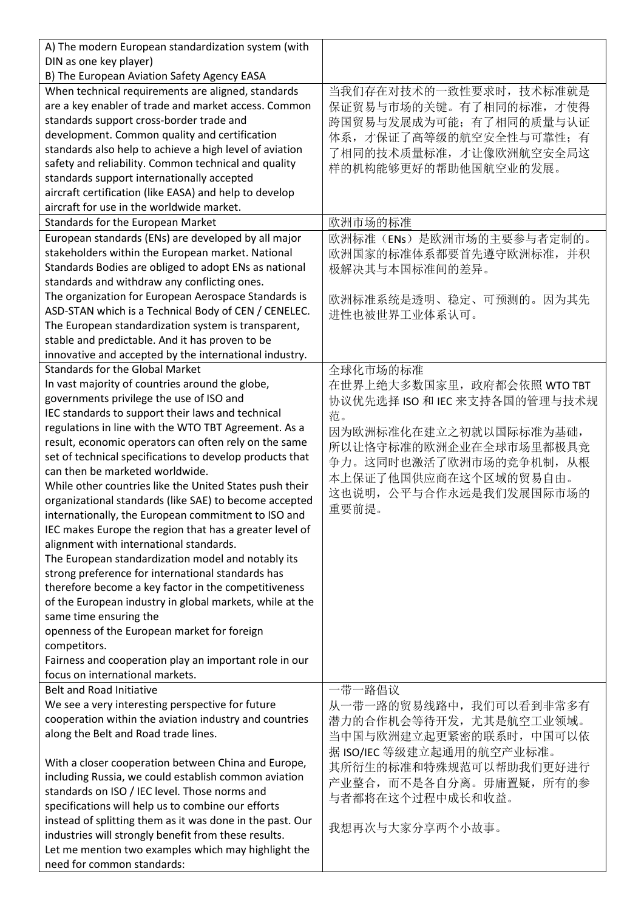| A) The modern European standardization system (with                               |                               |
|-----------------------------------------------------------------------------------|-------------------------------|
| DIN as one key player)                                                            |                               |
| B) The European Aviation Safety Agency EASA                                       |                               |
| When technical requirements are aligned, standards                                | 当我们存在对技术的一致性要求时,技术标准就是        |
| are a key enabler of trade and market access. Common                              | 保证贸易与市场的关键。有了相同的标准,才使得        |
| standards support cross-border trade and                                          | 跨国贸易与发展成为可能;有了相同的质量与认证        |
| development. Common quality and certification                                     | 体系,才保证了高等级的航空安全性与可靠性;有        |
| standards also help to achieve a high level of aviation                           | 了相同的技术质量标准,才让像欧洲航空安全局这        |
| safety and reliability. Common technical and quality                              | 样的机构能够更好的帮助他国航空业的发展。          |
| standards support internationally accepted                                        |                               |
| aircraft certification (like EASA) and help to develop                            |                               |
| aircraft for use in the worldwide market.                                         |                               |
| Standards for the European Market                                                 | 欧洲市场的标准                       |
| European standards (ENs) are developed by all major                               | 欧洲标准(ENs)是欧洲市场的主要参与者定制的。      |
| stakeholders within the European market. National                                 | 欧洲国家的标准体系都要首先遵守欧洲标准, 并积       |
| Standards Bodies are obliged to adopt ENs as national                             | 极解决其与本国标准间的差异。                |
| standards and withdraw any conflicting ones.                                      |                               |
| The organization for European Aerospace Standards is                              | 欧洲标准系统是透明、稳定、可预测的。因为其先        |
| ASD-STAN which is a Technical Body of CEN / CENELEC.                              | 进性也被世界工业体系认可。                 |
| The European standardization system is transparent,                               |                               |
| stable and predictable. And it has proven to be                                   |                               |
| innovative and accepted by the international industry.                            |                               |
| <b>Standards for the Global Market</b>                                            | 全球化市场的标准                      |
| In vast majority of countries around the globe,                                   | 在世界上绝大多数国家里, 政府都会依照 WTO TBT   |
| governments privilege the use of ISO and                                          | 协议优先选择 ISO 和 IEC 来支持各国的管理与技术规 |
| IEC standards to support their laws and technical                                 | 范。                            |
| regulations in line with the WTO TBT Agreement. As a                              | 因为欧洲标准化在建立之初就以国际标准为基础,        |
| result, economic operators can often rely on the same                             | 所以让恪守标准的欧洲企业在全球市场里都极具竞        |
| set of technical specifications to develop products that                          | 争力。这同时也激活了欧洲市场的竞争机制, 从根       |
| can then be marketed worldwide.                                                   | 本上保证了他国供应商在这个区域的贸易自由。         |
| While other countries like the United States push their                           | 这也说明, 公平与合作永远是我们发展国际市场的       |
| organizational standards (like SAE) to become accepted                            | 重要前提。                         |
| internationally, the European commitment to ISO and                               |                               |
| IEC makes Europe the region that has a greater level of                           |                               |
| alignment with international standards.                                           |                               |
| The European standardization model and notably its                                |                               |
| strong preference for international standards has                                 |                               |
| therefore become a key factor in the competitiveness                              |                               |
| of the European industry in global markets, while at the                          |                               |
| same time ensuring the                                                            |                               |
| openness of the European market for foreign                                       |                               |
| competitors.                                                                      |                               |
| Fairness and cooperation play an important role in our                            |                               |
| focus on international markets.                                                   |                               |
| Belt and Road Initiative                                                          | 一带一路倡议                        |
| We see a very interesting perspective for future                                  | 从一带一路的贸易线路中, 我们可以看到非常多有       |
| cooperation within the aviation industry and countries                            | 潜力的合作机会等待开发,尤其是航空工业领域。        |
| along the Belt and Road trade lines.                                              | 当中国与欧洲建立起更紧密的联系时, 中国可以依       |
|                                                                                   | 据 ISO/IEC 等级建立起通用的航空产业标准。     |
| With a closer cooperation between China and Europe,                               | 其所衍生的标准和特殊规范可以帮助我们更好进行        |
| including Russia, we could establish common aviation                              | 产业整合, 而不是各自分离。毋庸置疑, 所有的参      |
| standards on ISO / IEC level. Those norms and                                     | 与者都将在这个过程中成长和收益。              |
| specifications will help us to combine our efforts                                |                               |
| instead of splitting them as it was done in the past. Our                         | 我想再次与大家分享两个小故事。               |
| industries will strongly benefit from these results.                              |                               |
| Let me mention two examples which may highlight the<br>need for common standards: |                               |
|                                                                                   |                               |